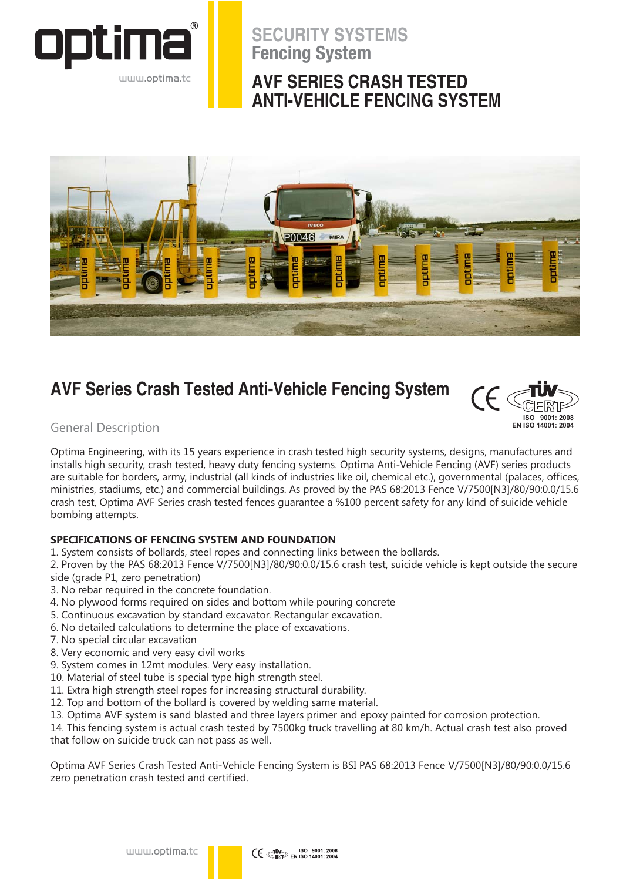

www.optima.to

## **SECURITY SYSTEMS Fencing System**

## **AVF SERIES CRASH TESTED ANTI-VEHICLE FENCING SYSTEM**



## **AVF Series Crash Tested Anti-Vehicle Fencing System**



**General Description** 

Optima Engineering, with its 15 years experience in crash tested high security systems, designs, manufactures and installs high security, crash tested, heavy duty fencing systems. Optima Anti-Vehicle Fencing (AVF) series products are suitable for borders, army, industrial (all kinds of industries like oil, chemical etc.), governmental (palaces, offices, ministries, stadiums, etc.) and commercial buildings. As proved by the PAS 68:2013 Fence V/7500[N3]/80/90:0.0/15.6 crash test, Optima AVF Series crash tested fences quarantee a %100 percent safety for any kind of suicide vehicle bombing attempts.

## SPECIFICATIONS OF FENCING SYSTEM AND FOUNDATION

1. System consists of bollards, steel ropes and connecting links between the bollards.

2. Proven by the PAS 68:2013 Fence V/7500[N3]/80/90:0.0/15.6 crash test, suicide vehicle is kept outside the secure side (grade P1, zero penetration)

- 3. No rebar required in the concrete foundation.
- 4. No plywood forms required on sides and bottom while pouring concrete
- 5. Continuous excavation by standard excavator. Rectangular excavation.
- 6. No detailed calculations to determine the place of excavations.
- 7. No special circular excavation
- 8. Very economic and very easy civil works
- 9. System comes in 12mt modules. Very easy installation.
- 10. Material of steel tube is special type high strength steel.
- 11. Extra high strength steel ropes for increasing structural durability.
- 12. Top and bottom of the bollard is covered by welding same material.
- 13. Optima AVF system is sand blasted and three layers primer and epoxy painted for corrosion protection.

14. This fencing system is actual crash tested by 7500kg truck travelling at 80 km/h. Actual crash test also proved that follow on suicide truck can not pass as well.

Optima AVF Series Crash Tested Anti-Vehicle Fencing System is BSI PAS 68:2013 Fence V/7500[N3]/80/90:0.0/15.6 zero penetration crash tested and certified.

www.optima.tc